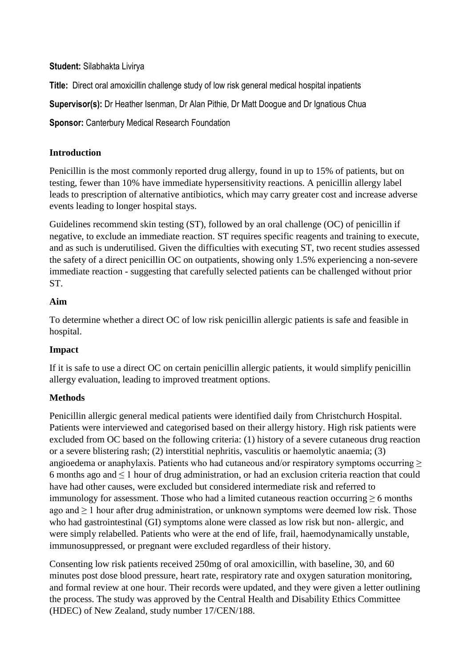#### **Student:** Silabhakta Livirya

**Title:** Direct oral amoxicillin challenge study of low risk general medical hospital inpatients

**Supervisor(s):** Dr Heather Isenman, Dr Alan Pithie, Dr Matt Doogue and Dr Ignatious Chua

**Sponsor:** Canterbury Medical Research Foundation

# **Introduction**

Penicillin is the most commonly reported drug allergy, found in up to 15% of patients, but on testing, fewer than 10% have immediate hypersensitivity reactions. A penicillin allergy label leads to prescription of alternative antibiotics, which may carry greater cost and increase adverse events leading to longer hospital stays.

Guidelines recommend skin testing (ST), followed by an oral challenge (OC) of penicillin if negative, to exclude an immediate reaction. ST requires specific reagents and training to execute, and as such is underutilised. Given the difficulties with executing ST, two recent studies assessed the safety of a direct penicillin OC on outpatients, showing only 1.5% experiencing a non-severe immediate reaction - suggesting that carefully selected patients can be challenged without prior ST.

# **Aim**

To determine whether a direct OC of low risk penicillin allergic patients is safe and feasible in hospital.

## **Impact**

If it is safe to use a direct OC on certain penicillin allergic patients, it would simplify penicillin allergy evaluation, leading to improved treatment options.

# **Methods**

Penicillin allergic general medical patients were identified daily from Christchurch Hospital. Patients were interviewed and categorised based on their allergy history. High risk patients were excluded from OC based on the following criteria: (1) history of a severe cutaneous drug reaction or a severe blistering rash; (2) interstitial nephritis, vasculitis or haemolytic anaemia; (3) angioedema or anaphylaxis. Patients who had cutaneous and/or respiratory symptoms occurring  $\geq$ 6 months ago and  $\leq 1$  hour of drug administration, or had an exclusion criteria reaction that could have had other causes, were excluded but considered intermediate risk and referred to immunology for assessment. Those who had a limited cutaneous reaction occurring ≥ 6 months ago and  $\geq 1$  hour after drug administration, or unknown symptoms were deemed low risk. Those who had gastrointestinal (GI) symptoms alone were classed as low risk but non- allergic, and were simply relabelled. Patients who were at the end of life, frail, haemodynamically unstable, immunosuppressed, or pregnant were excluded regardless of their history.

Consenting low risk patients received 250mg of oral amoxicillin, with baseline, 30, and 60 minutes post dose blood pressure, heart rate, respiratory rate and oxygen saturation monitoring, and formal review at one hour. Their records were updated, and they were given a letter outlining the process. The study was approved by the Central Health and Disability Ethics Committee (HDEC) of New Zealand, study number 17/CEN/188.